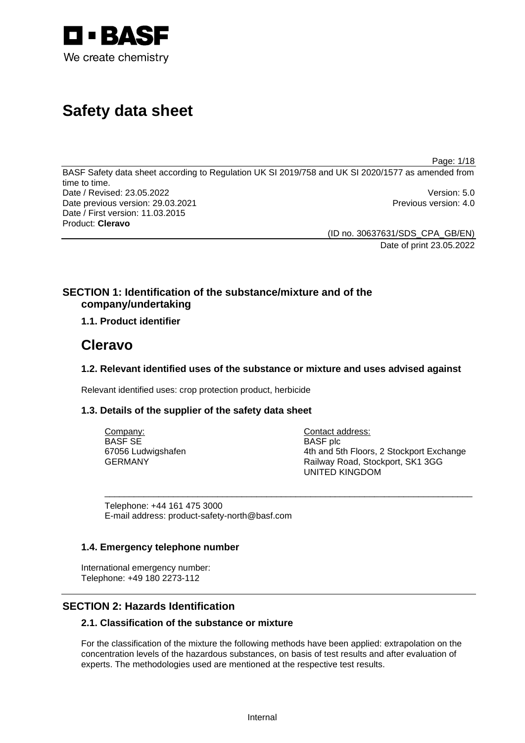

# **Safety data sheet**

Page: 1/18

BASF Safety data sheet according to Regulation UK SI 2019/758 and UK SI 2020/1577 as amended from time to time. Date / Revised: 23.05.2022 Version: 5.0 Date previous version: 29.03.2021 **Previous version: 4.0** Previous version: 4.0 Date / First version: 11.03.2015 Product: **Cleravo** 

> (ID no. 30637631/SDS\_CPA\_GB/EN) Date of print 23.05.2022

# **SECTION 1: Identification of the substance/mixture and of the company/undertaking**

# **1.1. Product identifier**

# **Cleravo**

# **1.2. Relevant identified uses of the substance or mixture and uses advised against**

Relevant identified uses: crop protection product, herbicide

# **1.3. Details of the supplier of the safety data sheet**

| Company:           | Contact address:                         |
|--------------------|------------------------------------------|
| BASF SE            | <b>BASF</b> plc                          |
| 67056 Ludwigshafen | 4th and 5th Floors, 2 Stockport Exchange |
| GERMANY            | Railway Road, Stockport, SK1 3GG         |
|                    | <b>UNITED KINGDOM</b>                    |

\_\_\_\_\_\_\_\_\_\_\_\_\_\_\_\_\_\_\_\_\_\_\_\_\_\_\_\_\_\_\_\_\_\_\_\_\_\_\_\_\_\_\_\_\_\_\_\_\_\_\_\_\_\_\_\_\_\_\_\_\_\_\_\_\_\_\_\_\_\_\_\_\_\_\_

Telephone: +44 161 475 3000 E-mail address: product-safety-north@basf.com

### **1.4. Emergency telephone number**

International emergency number: Telephone: +49 180 2273-112

# **SECTION 2: Hazards Identification**

# **2.1. Classification of the substance or mixture**

For the classification of the mixture the following methods have been applied: extrapolation on the concentration levels of the hazardous substances, on basis of test results and after evaluation of experts. The methodologies used are mentioned at the respective test results.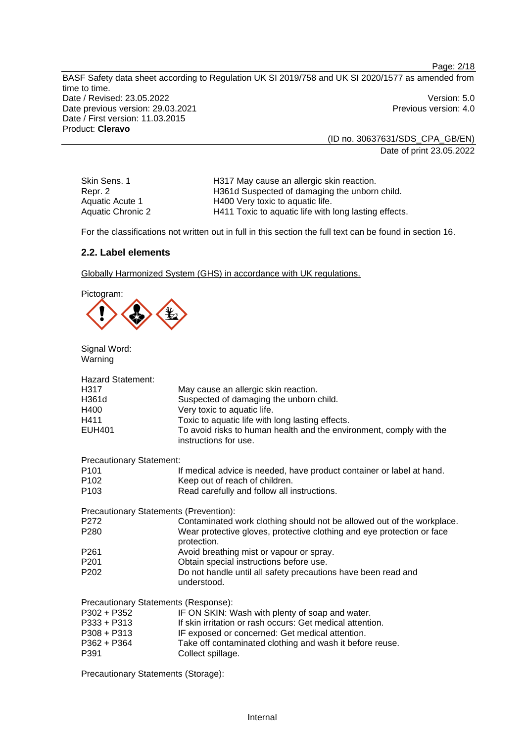BASF Safety data sheet according to Regulation UK SI 2019/758 and UK SI 2020/1577 as amended from time to time. Date / Revised: 23.05.2022 Version: 5.0 Date previous version: 29.03.2021 **Previous version: 4.0** Previous version: 4.0 Date / First version: 11.03.2015 Product: **Cleravo** 

> (ID no. 30637631/SDS\_CPA\_GB/EN) Date of print 23.05.2022

Page: 2/18

Skin Sens. 1 **H317 May cause an allergic skin reaction.** Repr. 2 **H361d Suspected of damaging the unborn child.**<br>Aquatic Acute 1 **H400** Very toxic to aquatic life. Aquatic Acute 1 H400 Very toxic to aquatic life.<br>Aquatic Chronic 2 H411 Toxic to aquatic life with H411 Toxic to aquatic life with long lasting effects.

For the classifications not written out in full in this section the full text can be found in section 16.

### **2.2. Label elements**

Globally Harmonized System (GHS) in accordance with UK regulations.

Pictogram:

Signal Word: Warning

| <b>Hazard Statement:</b>                      |                                                                                              |
|-----------------------------------------------|----------------------------------------------------------------------------------------------|
| H317                                          | May cause an allergic skin reaction.                                                         |
| H361d                                         | Suspected of damaging the unborn child.                                                      |
| H400                                          | Very toxic to aquatic life.                                                                  |
| H411                                          | Toxic to aquatic life with long lasting effects.                                             |
| <b>EUH401</b>                                 | To avoid risks to human health and the environment, comply with the<br>instructions for use. |
| <b>Precautionary Statement:</b>               |                                                                                              |
| P101                                          | If medical advice is needed, have product container or label at hand.                        |
| P102                                          | Keep out of reach of children.                                                               |
| P103                                          | Read carefully and follow all instructions.                                                  |
| <b>Precautionary Statements (Prevention):</b> |                                                                                              |
| P272                                          | Contaminated work clothing should not be allowed out of the workplace.                       |
| P280                                          | Wear protective gloves, protective clothing and eye protection or face<br>protection.        |
| P261                                          | Avoid breathing mist or vapour or spray.                                                     |
| P201                                          | Obtain special instructions before use.                                                      |
| P202                                          | Do not handle until all safety precautions have been read and<br>understood.                 |
| Precautionary Statements (Response):          |                                                                                              |
| P302 + P352                                   | IF ON SKIN: Wash with plenty of soap and water.                                              |
| P333 + P313                                   | If skin irritation or rash occurs: Get medical attention.                                    |
| P308 + P313                                   | IF exposed or concerned: Get medical attention.                                              |
| P362 + P364<br>P391                           | Take off contaminated clothing and wash it before reuse.<br>Collect spillage.                |

Precautionary Statements (Storage):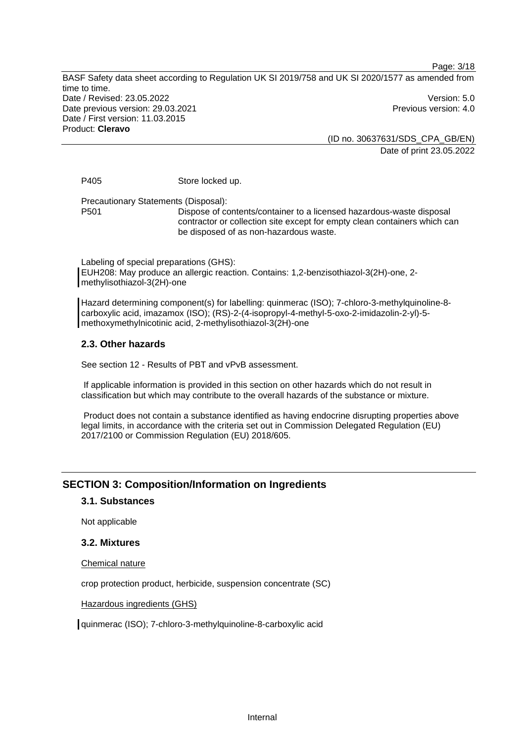Page: 3/18

BASF Safety data sheet according to Regulation UK SI 2019/758 and UK SI 2020/1577 as amended from time to time. Date / Revised: 23.05.2022 Version: 5.0 Date previous version: 29.03.2021 **Date previous version: 4.0** Date / First version: 11.03.2015 Product: **Cleravo** 

(ID no. 30637631/SDS\_CPA\_GB/EN) Date of print 23.05.2022

P405 Store locked up.

Precautionary Statements (Disposal):

P501 Dispose of contents/container to a licensed hazardous-waste disposal contractor or collection site except for empty clean containers which can be disposed of as non-hazardous waste.

Labeling of special preparations (GHS): EUH208: May produce an allergic reaction. Contains: 1,2-benzisothiazol-3(2H)-one, 2 methylisothiazol-3(2H)-one

Hazard determining component(s) for labelling: quinmerac (ISO); 7-chloro-3-methylquinoline-8 carboxylic acid, imazamox (ISO); (RS)-2-(4-isopropyl-4-methyl-5-oxo-2-imidazolin-2-yl)-5 methoxymethylnicotinic acid, 2-methylisothiazol-3(2H)-one

### **2.3. Other hazards**

See section 12 - Results of PBT and vPvB assessment.

 If applicable information is provided in this section on other hazards which do not result in classification but which may contribute to the overall hazards of the substance or mixture.

 Product does not contain a substance identified as having endocrine disrupting properties above legal limits, in accordance with the criteria set out in Commission Delegated Regulation (EU) 2017/2100 or Commission Regulation (EU) 2018/605.

# **SECTION 3: Composition/Information on Ingredients**

### **3.1. Substances**

Not applicable

### **3.2. Mixtures**

Chemical nature

crop protection product, herbicide, suspension concentrate (SC)

Hazardous ingredients (GHS)

quinmerac (ISO); 7-chloro-3-methylquinoline-8-carboxylic acid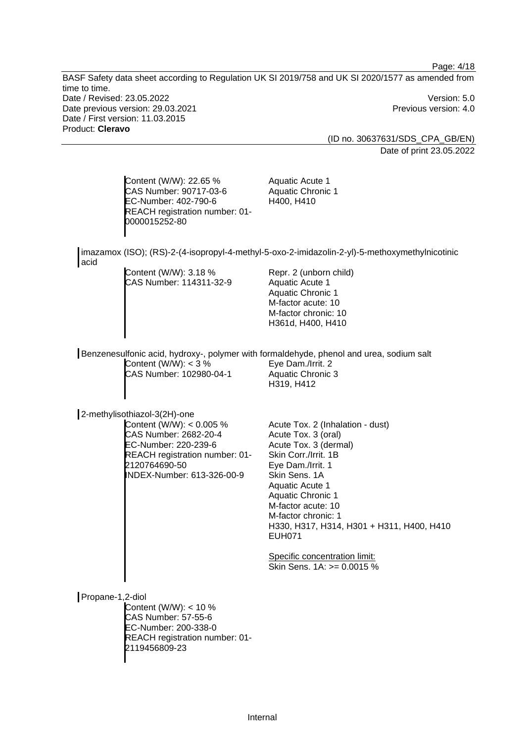Page: 4/18 BASF Safety data sheet according to Regulation UK SI 2019/758 and UK SI 2020/1577 as amended from time to time. Date / Revised: 23.05.2022 Version: 5.0 Date previous version: 29.03.2021 **Date previous version: 4.0** Date / First version: 11.03.2015 Product: **Cleravo**  (ID no. 30637631/SDS\_CPA\_GB/EN) Date of print 23.05.2022 Content (W/W): 22.65 % CAS Number: 90717-03-6 EC-Number: 402-790-6 REACH registration number: 01- 0000015252-80 Aquatic Acute 1 Aquatic Chronic 1 H400, H410 imazamox (ISO); (RS)-2-(4-isopropyl-4-methyl-5-oxo-2-imidazolin-2-yl)-5-methoxymethylnicotinic acid Content (W/W): 3.18 % CAS Number: 114311-32-9 Repr. 2 (unborn child) Aquatic Acute 1 Aquatic Chronic 1 M-factor acute: 10 M-factor chronic: 10 H361d, H400, H410 Benzenesulfonic acid, hydroxy-, polymer with formaldehyde, phenol and urea, sodium salt Content  $(W/W)$ : < 3 % CAS Number: 102980-04-1 Eye Dam./Irrit. 2 Aquatic Chronic 3 H319, H412 2-methylisothiazol-3(2H)-one Content (W/W): < 0.005 % CAS Number: 2682-20-4 EC-Number: 220-239-6 REACH registration number: 01- 2120764690-50 INDEX-Number: 613-326-00-9 Acute Tox. 2 (Inhalation - dust) Acute Tox. 3 (oral) Acute Tox. 3 (dermal) Skin Corr./Irrit. 1B Eye Dam./Irrit. 1 Skin Sens. 1A Aquatic Acute 1 Aquatic Chronic 1 M-factor acute: 10 M-factor chronic: 1 H330, H317, H314, H301 + H311, H400, H410 EUH071 Specific concentration limit: Skin Sens. 1A: >= 0.0015 % Propane-1,2-diol

Content (W/W): < 10 % CAS Number: 57-55-6 EC-Number: 200-338-0 REACH registration number: 01- 2119456809-23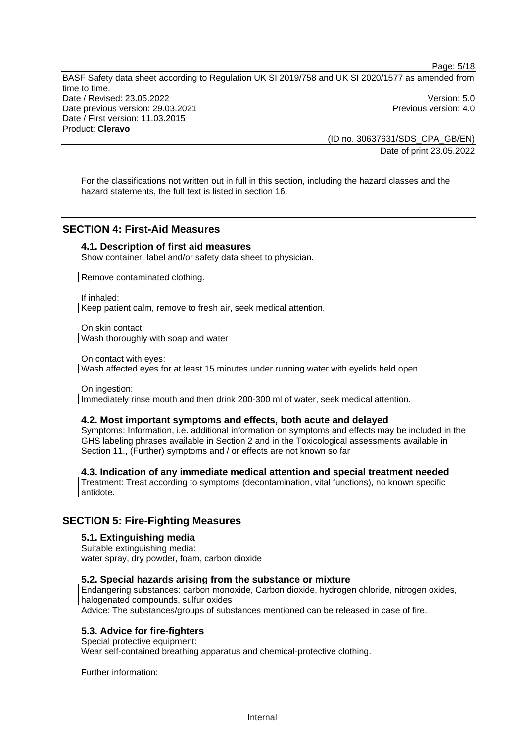Page: 5/18 BASF Safety data sheet according to Regulation UK SI 2019/758 and UK SI 2020/1577 as amended from time to time. Date / Revised: 23.05.2022 Version: 5.0 Date previous version: 29.03.2021 **Date previous version: 4.0** Date / First version: 11.03.2015 Product: **Cleravo** 

> (ID no. 30637631/SDS\_CPA\_GB/EN) Date of print 23.05.2022

For the classifications not written out in full in this section, including the hazard classes and the hazard statements, the full text is listed in section 16.

# **SECTION 4: First-Aid Measures**

### **4.1. Description of first aid measures**

Show container, label and/or safety data sheet to physician.

Remove contaminated clothing.

If inhaled: Keep patient calm, remove to fresh air, seek medical attention.

On skin contact: Wash thoroughly with soap and water

On contact with eyes: Wash affected eyes for at least 15 minutes under running water with eyelids held open.

On ingestion: Immediately rinse mouth and then drink 200-300 ml of water, seek medical attention.

### **4.2. Most important symptoms and effects, both acute and delayed**

Symptoms: Information, i.e. additional information on symptoms and effects may be included in the GHS labeling phrases available in Section 2 and in the Toxicological assessments available in Section 11., (Further) symptoms and / or effects are not known so far

**4.3. Indication of any immediate medical attention and special treatment needed**  Treatment: Treat according to symptoms (decontamination, vital functions), no known specific antidote.

### **SECTION 5: Fire-Fighting Measures**

#### **5.1. Extinguishing media**

Suitable extinguishing media: water spray, dry powder, foam, carbon dioxide

### **5.2. Special hazards arising from the substance or mixture**

Endangering substances: carbon monoxide, Carbon dioxide, hydrogen chloride, nitrogen oxides, halogenated compounds, sulfur oxides

Advice: The substances/groups of substances mentioned can be released in case of fire.

#### **5.3. Advice for fire-fighters**

Special protective equipment: Wear self-contained breathing apparatus and chemical-protective clothing.

Further information: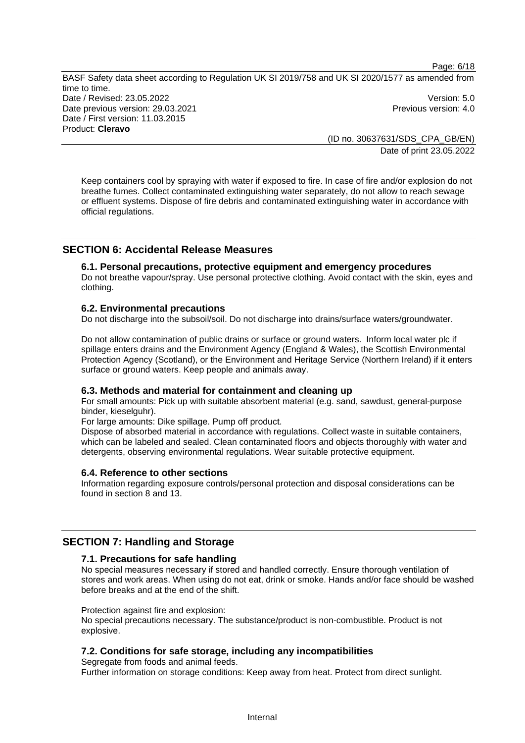Page: 6/18

BASF Safety data sheet according to Regulation UK SI 2019/758 and UK SI 2020/1577 as amended from time to time. Date / Revised: 23.05.2022 Version: 5.0 Date previous version: 29.03.2021 **Date previous version: 4.0** Date / First version: 11.03.2015 Product: **Cleravo** 

(ID no. 30637631/SDS\_CPA\_GB/EN) Date of print 23.05.2022

Keep containers cool by spraying with water if exposed to fire. In case of fire and/or explosion do not breathe fumes. Collect contaminated extinguishing water separately, do not allow to reach sewage or effluent systems. Dispose of fire debris and contaminated extinguishing water in accordance with official regulations.

# **SECTION 6: Accidental Release Measures**

### **6.1. Personal precautions, protective equipment and emergency procedures**

Do not breathe vapour/spray. Use personal protective clothing. Avoid contact with the skin, eyes and clothing.

#### **6.2. Environmental precautions**

Do not discharge into the subsoil/soil. Do not discharge into drains/surface waters/groundwater.

Do not allow contamination of public drains or surface or ground waters. Inform local water plc if spillage enters drains and the Environment Agency (England & Wales), the Scottish Environmental Protection Agency (Scotland), or the Environment and Heritage Service (Northern Ireland) if it enters surface or ground waters. Keep people and animals away.

### **6.3. Methods and material for containment and cleaning up**

For small amounts: Pick up with suitable absorbent material (e.g. sand, sawdust, general-purpose binder, kieselguhr).

For large amounts: Dike spillage. Pump off product.

Dispose of absorbed material in accordance with regulations. Collect waste in suitable containers, which can be labeled and sealed. Clean contaminated floors and objects thoroughly with water and detergents, observing environmental regulations. Wear suitable protective equipment.

#### **6.4. Reference to other sections**

Information regarding exposure controls/personal protection and disposal considerations can be found in section 8 and 13.

### **SECTION 7: Handling and Storage**

#### **7.1. Precautions for safe handling**

No special measures necessary if stored and handled correctly. Ensure thorough ventilation of stores and work areas. When using do not eat, drink or smoke. Hands and/or face should be washed before breaks and at the end of the shift.

#### Protection against fire and explosion:

No special precautions necessary. The substance/product is non-combustible. Product is not explosive.

### **7.2. Conditions for safe storage, including any incompatibilities**

Segregate from foods and animal feeds. Further information on storage conditions: Keep away from heat. Protect from direct sunlight.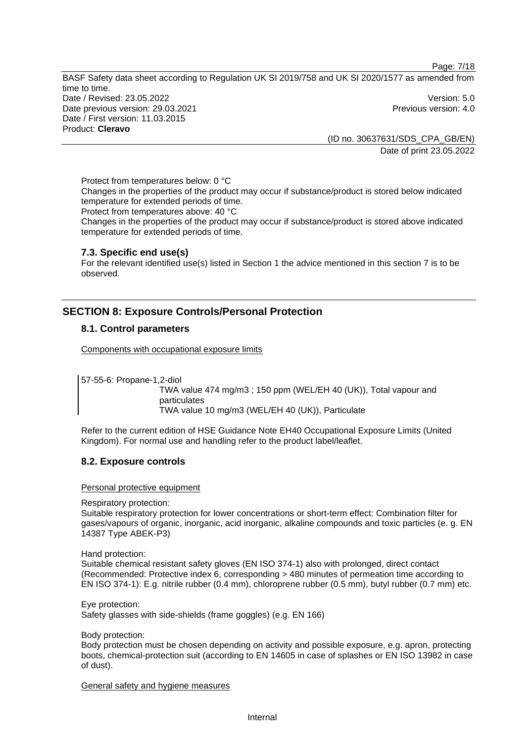Page: 7/18

BASF Safety data sheet according to Regulation UK SI 2019/758 and UK SI 2020/1577 as amended from time to time. Date / Revised: 23.05.2022 Version: 5.0 Date previous version: 29.03.2021 **Date previous version: 4.0** Date / First version: 11.03.2015 Product: **Cleravo** 

> (ID no. 30637631/SDS\_CPA\_GB/EN) Date of print 23.05.2022

Protect from temperatures below: 0 °C Changes in the properties of the product may occur if substance/product is stored below indicated temperature for extended periods of time. Protect from temperatures above: 40 °C

Changes in the properties of the product may occur if substance/product is stored above indicated temperature for extended periods of time.

### **7.3. Specific end use(s)**

For the relevant identified use(s) listed in Section 1 the advice mentioned in this section 7 is to be observed.

# **SECTION 8: Exposure Controls/Personal Protection**

### **8.1. Control parameters**

Components with occupational exposure limits

57-55-6: Propane-1,2-diol

TWA value 474 mg/m3 ; 150 ppm (WEL/EH 40 (UK)), Total vapour and particulates TWA value 10 mg/m3 (WEL/EH 40 (UK)), Particulate

Refer to the current edition of HSE Guidance Note EH40 Occupational Exposure Limits (United Kingdom). For normal use and handling refer to the product label/leaflet.

### **8.2. Exposure controls**

Personal protective equipment

Respiratory protection:

Suitable respiratory protection for lower concentrations or short-term effect: Combination filter for gases/vapours of organic, inorganic, acid inorganic, alkaline compounds and toxic particles (e. g. EN 14387 Type ABEK-P3)

Hand protection:

Suitable chemical resistant safety gloves (EN ISO 374-1) also with prolonged, direct contact (Recommended: Protective index 6, corresponding > 480 minutes of permeation time according to EN ISO 374-1): E.g. nitrile rubber (0.4 mm), chloroprene rubber (0.5 mm), butyl rubber (0.7 mm) etc.

Eye protection: Safety glasses with side-shields (frame goggles) (e.g. EN 166)

Body protection:

Body protection must be chosen depending on activity and possible exposure, e.g. apron, protecting boots, chemical-protection suit (according to EN 14605 in case of splashes or EN ISO 13982 in case of dust).

General safety and hygiene measures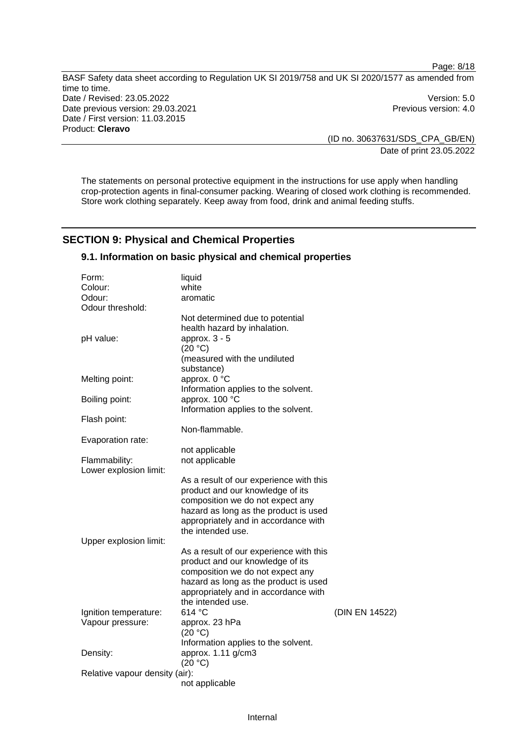Page: 8/18 BASF Safety data sheet according to Regulation UK SI 2019/758 and UK SI 2020/1577 as amended from time to time. Date / Revised: 23.05.2022 Version: 5.0 Date previous version: 29.03.2021 **Previous version: 4.0** Previous version: 4.0 Date / First version: 11.03.2015 Product: **Cleravo** 

(ID no. 30637631/SDS\_CPA\_GB/EN) Date of print 23.05.2022

The statements on personal protective equipment in the instructions for use apply when handling crop-protection agents in final-consumer packing. Wearing of closed work clothing is recommended. Store work clothing separately. Keep away from food, drink and animal feeding stuffs.

# **SECTION 9: Physical and Chemical Properties**

### **9.1. Information on basic physical and chemical properties**

| Form:                          | liquid                                  |                |
|--------------------------------|-----------------------------------------|----------------|
| Colour:                        | white                                   |                |
| Odour:                         | aromatic                                |                |
| Odour threshold:               |                                         |                |
|                                | Not determined due to potential         |                |
|                                | health hazard by inhalation.            |                |
| pH value:                      | approx. $3 - 5$                         |                |
|                                | (20 °C)                                 |                |
|                                | (measured with the undiluted            |                |
|                                | substance)                              |                |
| Melting point:                 | approx. 0 °C                            |                |
|                                | Information applies to the solvent.     |                |
| Boiling point:                 | approx. 100 °C                          |                |
|                                | Information applies to the solvent.     |                |
| Flash point:                   |                                         |                |
|                                | Non-flammable.                          |                |
|                                |                                         |                |
| Evaporation rate:              |                                         |                |
|                                | not applicable                          |                |
| Flammability:                  | not applicable                          |                |
| Lower explosion limit:         |                                         |                |
|                                | As a result of our experience with this |                |
|                                | product and our knowledge of its        |                |
|                                | composition we do not expect any        |                |
|                                | hazard as long as the product is used   |                |
|                                | appropriately and in accordance with    |                |
|                                | the intended use.                       |                |
| Upper explosion limit:         |                                         |                |
|                                | As a result of our experience with this |                |
|                                | product and our knowledge of its        |                |
|                                | composition we do not expect any        |                |
|                                | hazard as long as the product is used   |                |
|                                | appropriately and in accordance with    |                |
|                                | the intended use.                       |                |
| Ignition temperature:          | 614 °C                                  | (DIN EN 14522) |
| Vapour pressure:               | approx. 23 hPa                          |                |
|                                | (20 °C)                                 |                |
|                                | Information applies to the solvent.     |                |
| Density:                       | approx. 1.11 g/cm3                      |                |
|                                | (20 °C)                                 |                |
| Relative vapour density (air): |                                         |                |
|                                | not applicable                          |                |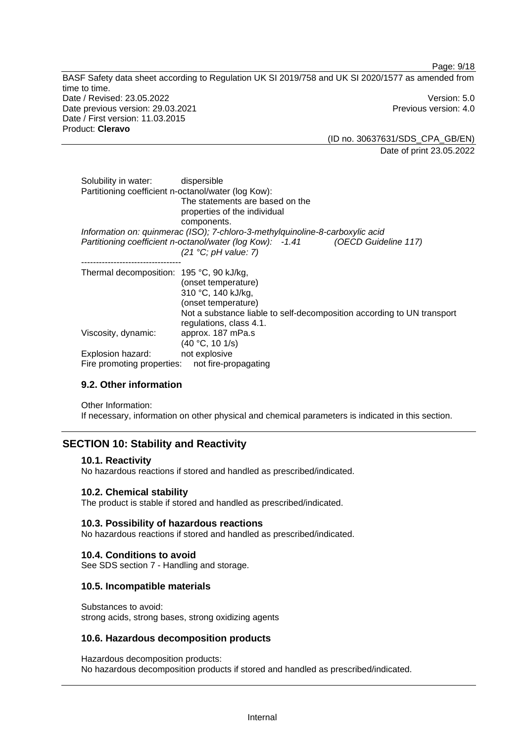BASF Safety data sheet according to Regulation UK SI 2019/758 and UK SI 2020/1577 as amended from time to time. Date / Revised: 23.05.2022 Version: 5.0 Date previous version: 29.03.2021 **Previous version: 4.0** Previous version: 4.0 Date / First version: 11.03.2015 Product: **Cleravo** 

(ID no. 30637631/SDS\_CPA\_GB/EN) Date of print 23.05.2022

Page: 9/18

| Solubility in water: dispersible<br>Partitioning coefficient n-octanol/water (log Kow): | The statements are based on the<br>properties of the individual<br>components.                                                                                        |
|-----------------------------------------------------------------------------------------|-----------------------------------------------------------------------------------------------------------------------------------------------------------------------|
|                                                                                         | Information on: quinmerac (ISO); 7-chloro-3-methylquinoline-8-carboxylic acid                                                                                         |
|                                                                                         | Partitioning coefficient n-octanol/water (log Kow): -1.41 (OECD Guideline 117)                                                                                        |
|                                                                                         | $(21 \text{ °C}; pH value: 7)$                                                                                                                                        |
| Thermal decomposition: 195 °C, 90 kJ/kg,                                                | (onset temperature)<br>310 °C, 140 kJ/kg,<br>(onset temperature)<br>Not a substance liable to self-decomposition according to UN transport<br>regulations, class 4.1. |
| Viscosity, dynamic:                                                                     | approx. 187 mPa.s<br>(40 °C, 10 1/s)                                                                                                                                  |
| Explosion hazard:                                                                       | not explosive                                                                                                                                                         |
| Fire promoting properties:                                                              | not fire-propagating                                                                                                                                                  |

### **9.2. Other information**

Other Information:

If necessary, information on other physical and chemical parameters is indicated in this section.

# **SECTION 10: Stability and Reactivity**

#### **10.1. Reactivity**

No hazardous reactions if stored and handled as prescribed/indicated.

### **10.2. Chemical stability**

The product is stable if stored and handled as prescribed/indicated.

#### **10.3. Possibility of hazardous reactions**

No hazardous reactions if stored and handled as prescribed/indicated.

### **10.4. Conditions to avoid**

See SDS section 7 - Handling and storage.

### **10.5. Incompatible materials**

Substances to avoid: strong acids, strong bases, strong oxidizing agents

### **10.6. Hazardous decomposition products**

Hazardous decomposition products: No hazardous decomposition products if stored and handled as prescribed/indicated.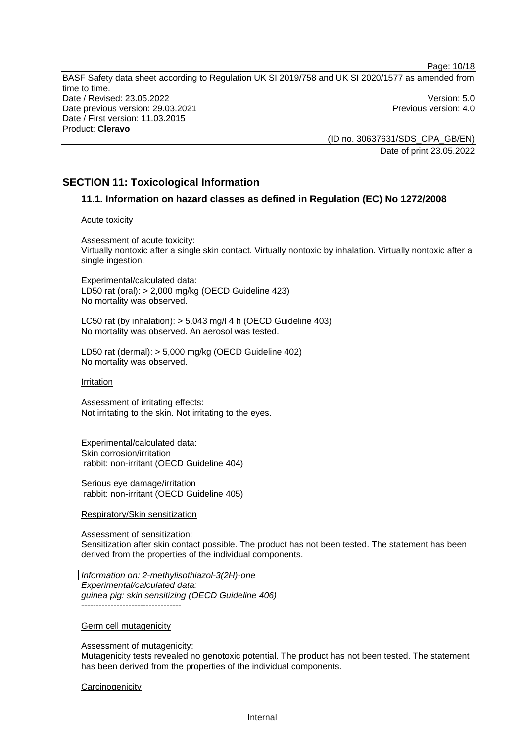Page: 10/18 BASF Safety data sheet according to Regulation UK SI 2019/758 and UK SI 2020/1577 as amended from time to time. Date / Revised: 23.05.2022 Version: 5.0 Date previous version: 29.03.2021 **Date previous version: 4.0** Date / First version: 11.03.2015 Product: **Cleravo** 

> (ID no. 30637631/SDS\_CPA\_GB/EN) Date of print 23.05.2022

## **SECTION 11: Toxicological Information**

### **11.1. Information on hazard classes as defined in Regulation (EC) No 1272/2008**

#### Acute toxicity

Assessment of acute toxicity: Virtually nontoxic after a single skin contact. Virtually nontoxic by inhalation. Virtually nontoxic after a single ingestion.

Experimental/calculated data: LD50 rat (oral): > 2,000 mg/kg (OECD Guideline 423) No mortality was observed.

LC50 rat (by inhalation): > 5.043 mg/l 4 h (OECD Guideline 403) No mortality was observed. An aerosol was tested.

LD50 rat (dermal): > 5,000 mg/kg (OECD Guideline 402) No mortality was observed.

#### Irritation

Assessment of irritating effects: Not irritating to the skin. Not irritating to the eyes.

Experimental/calculated data: Skin corrosion/irritation rabbit: non-irritant (OECD Guideline 404)

Serious eye damage/irritation rabbit: non-irritant (OECD Guideline 405)

#### Respiratory/Skin sensitization

Assessment of sensitization: Sensitization after skin contact possible. The product has not been tested. The statement has been derived from the properties of the individual components.

*Information on: 2-methylisothiazol-3(2H)-one Experimental/calculated data: guinea pig: skin sensitizing (OECD Guideline 406)* ----------------------------------

#### Germ cell mutagenicity

Assessment of mutagenicity:

Mutagenicity tests revealed no genotoxic potential. The product has not been tested. The statement has been derived from the properties of the individual components.

#### **Carcinogenicity**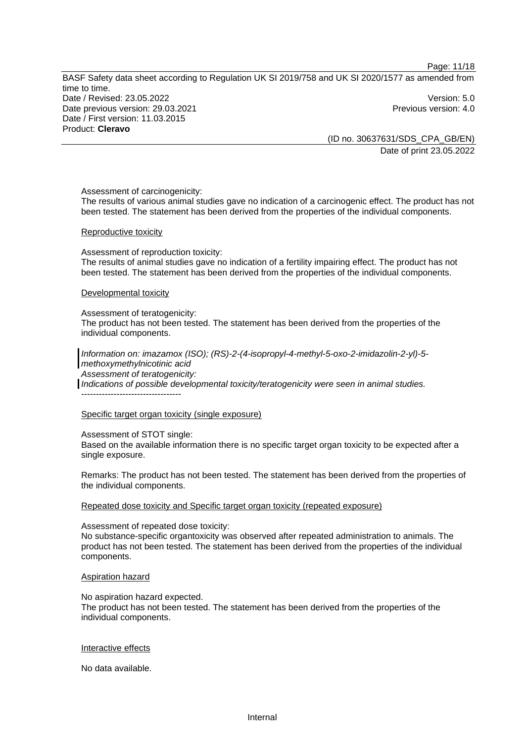BASF Safety data sheet according to Regulation UK SI 2019/758 and UK SI 2020/1577 as amended from time to time. Date / Revised: 23.05.2022 Version: 5.0 Date previous version: 29.03.2021 **Date previous version: 4.0** Date / First version: 11.03.2015 Product: **Cleravo** 

(ID no. 30637631/SDS\_CPA\_GB/EN) Date of print 23.05.2022

Page: 11/18

Assessment of carcinogenicity: The results of various animal studies gave no indication of a carcinogenic effect. The product has not

been tested. The statement has been derived from the properties of the individual components.

#### Reproductive toxicity

Assessment of reproduction toxicity: The results of animal studies gave no indication of a fertility impairing effect. The product has not been tested. The statement has been derived from the properties of the individual components.

#### Developmental toxicity

Assessment of teratogenicity:

The product has not been tested. The statement has been derived from the properties of the individual components.

*Information on: imazamox (ISO); (RS)-2-(4-isopropyl-4-methyl-5-oxo-2-imidazolin-2-yl)-5 methoxymethylnicotinic acid Assessment of teratogenicity: Indications of possible developmental toxicity/teratogenicity were seen in animal studies.*  ----------------------------------

### Specific target organ toxicity (single exposure)

Assessment of STOT single: Based on the available information there is no specific target organ toxicity to be expected after a single exposure.

Remarks: The product has not been tested. The statement has been derived from the properties of the individual components.

Repeated dose toxicity and Specific target organ toxicity (repeated exposure)

Assessment of repeated dose toxicity:

No substance-specific organtoxicity was observed after repeated administration to animals. The product has not been tested. The statement has been derived from the properties of the individual components.

#### Aspiration hazard

No aspiration hazard expected.

The product has not been tested. The statement has been derived from the properties of the individual components.

#### Interactive effects

No data available.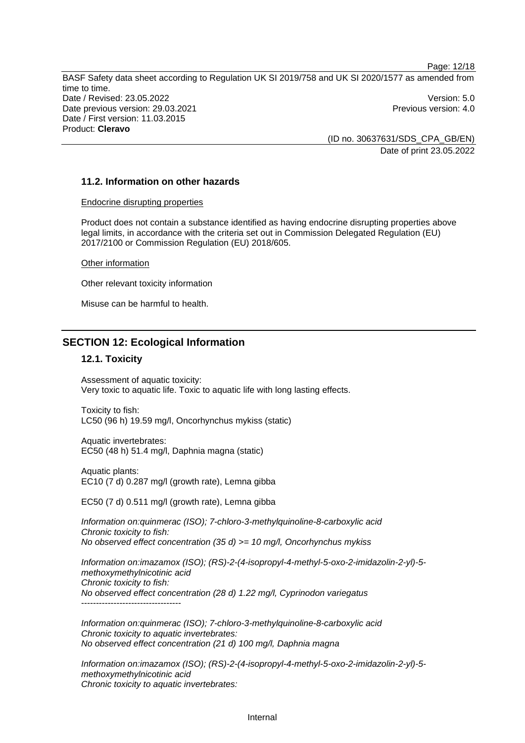Page: 12/18 BASF Safety data sheet according to Regulation UK SI 2019/758 and UK SI 2020/1577 as amended from time to time. Date / Revised: 23.05.2022 Version: 5.0 Date previous version: 29.03.2021 **Previous version: 4.0** Previous version: 4.0 Date / First version: 11.03.2015 Product: **Cleravo** 

(ID no. 30637631/SDS\_CPA\_GB/EN) Date of print 23.05.2022

### **11.2. Information on other hazards**

#### Endocrine disrupting properties

Product does not contain a substance identified as having endocrine disrupting properties above legal limits, in accordance with the criteria set out in Commission Delegated Regulation (EU) 2017/2100 or Commission Regulation (EU) 2018/605.

Other information

Other relevant toxicity information

Misuse can be harmful to health.

### **SECTION 12: Ecological Information**

#### **12.1. Toxicity**

Assessment of aquatic toxicity: Very toxic to aquatic life. Toxic to aquatic life with long lasting effects.

Toxicity to fish: LC50 (96 h) 19.59 mg/l, Oncorhynchus mykiss (static)

Aquatic invertebrates: EC50 (48 h) 51.4 mg/l, Daphnia magna (static)

Aquatic plants: EC10 (7 d) 0.287 mg/l (growth rate), Lemna gibba

EC50 (7 d) 0.511 mg/l (growth rate), Lemna gibba

*Information on:quinmerac (ISO); 7-chloro-3-methylquinoline-8-carboxylic acid Chronic toxicity to fish: No observed effect concentration (35 d) >= 10 mg/l, Oncorhynchus mykiss* 

*Information on:imazamox (ISO); (RS)-2-(4-isopropyl-4-methyl-5-oxo-2-imidazolin-2-yl)-5 methoxymethylnicotinic acid Chronic toxicity to fish: No observed effect concentration (28 d) 1.22 mg/l, Cyprinodon variegatus*  ----------------------------------

*Information on:quinmerac (ISO); 7-chloro-3-methylquinoline-8-carboxylic acid Chronic toxicity to aquatic invertebrates: No observed effect concentration (21 d) 100 mg/l, Daphnia magna* 

*Information on:imazamox (ISO); (RS)-2-(4-isopropyl-4-methyl-5-oxo-2-imidazolin-2-yl)-5 methoxymethylnicotinic acid Chronic toxicity to aquatic invertebrates:*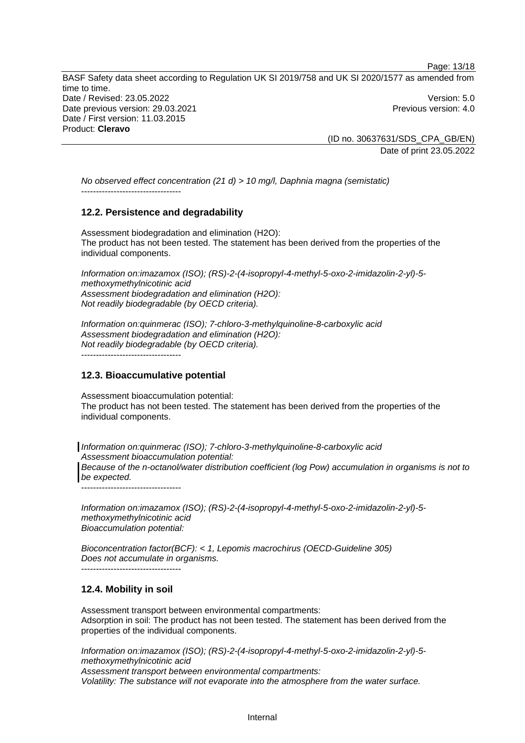BASF Safety data sheet according to Regulation UK SI 2019/758 and UK SI 2020/1577 as amended from time to time. Date / Revised: 23.05.2022 Version: 5.0 Date previous version: 29.03.2021 **Previous version: 4.0** Previous version: 4.0 Date / First version: 11.03.2015 Product: **Cleravo** 

(ID no. 30637631/SDS\_CPA\_GB/EN) Date of print 23.05.2022

Page: 13/18

*No observed effect concentration (21 d) > 10 mg/l, Daphnia magna (semistatic)*  ----------------------------------

### **12.2. Persistence and degradability**

Assessment biodegradation and elimination (H2O): The product has not been tested. The statement has been derived from the properties of the individual components.

*Information on:imazamox (ISO); (RS)-2-(4-isopropyl-4-methyl-5-oxo-2-imidazolin-2-yl)-5 methoxymethylnicotinic acid Assessment biodegradation and elimination (H2O): Not readily biodegradable (by OECD criteria).* 

*Information on:quinmerac (ISO); 7-chloro-3-methylquinoline-8-carboxylic acid Assessment biodegradation and elimination (H2O): Not readily biodegradable (by OECD criteria).*  ----------------------------------

### **12.3. Bioaccumulative potential**

Assessment bioaccumulation potential: The product has not been tested. The statement has been derived from the properties of the individual components.

*Information on:quinmerac (ISO); 7-chloro-3-methylquinoline-8-carboxylic acid Assessment bioaccumulation potential:* 

*Because of the n-octanol/water distribution coefficient (log Pow) accumulation in organisms is not to be expected.*  ----------------------------------

*Information on:imazamox (ISO); (RS)-2-(4-isopropyl-4-methyl-5-oxo-2-imidazolin-2-yl)-5 methoxymethylnicotinic acid Bioaccumulation potential:* 

*Bioconcentration factor(BCF): < 1, Lepomis macrochirus (OECD-Guideline 305) Does not accumulate in organisms.*  ----------------------------------

### **12.4. Mobility in soil**

Assessment transport between environmental compartments: Adsorption in soil: The product has not been tested. The statement has been derived from the properties of the individual components.

*Information on:imazamox (ISO); (RS)-2-(4-isopropyl-4-methyl-5-oxo-2-imidazolin-2-yl)-5 methoxymethylnicotinic acid Assessment transport between environmental compartments:*

*Volatility: The substance will not evaporate into the atmosphere from the water surface.*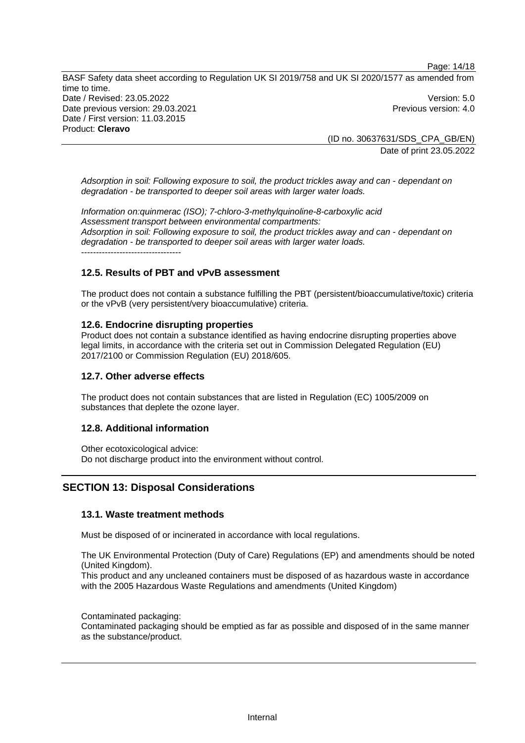Page: 14/18

BASF Safety data sheet according to Regulation UK SI 2019/758 and UK SI 2020/1577 as amended from time to time. Date / Revised: 23.05.2022 Version: 5.0 Date previous version: 29.03.2021 **Date previous version: 4.0** Date / First version: 11.03.2015 Product: **Cleravo** 

> (ID no. 30637631/SDS\_CPA\_GB/EN) Date of print 23.05.2022

*Adsorption in soil: Following exposure to soil, the product trickles away and can - dependant on degradation - be transported to deeper soil areas with larger water loads.*

*Information on:quinmerac (ISO); 7-chloro-3-methylquinoline-8-carboxylic acid Assessment transport between environmental compartments: Adsorption in soil: Following exposure to soil, the product trickles away and can - dependant on degradation - be transported to deeper soil areas with larger water loads.* ----------------------------------

# **12.5. Results of PBT and vPvB assessment**

The product does not contain a substance fulfilling the PBT (persistent/bioaccumulative/toxic) criteria or the vPvB (very persistent/very bioaccumulative) criteria.

### **12.6. Endocrine disrupting properties**

Product does not contain a substance identified as having endocrine disrupting properties above legal limits, in accordance with the criteria set out in Commission Delegated Regulation (EU) 2017/2100 or Commission Regulation (EU) 2018/605.

### **12.7. Other adverse effects**

The product does not contain substances that are listed in Regulation (EC) 1005/2009 on substances that deplete the ozone layer.

### **12.8. Additional information**

Other ecotoxicological advice: Do not discharge product into the environment without control.

# **SECTION 13: Disposal Considerations**

### **13.1. Waste treatment methods**

Must be disposed of or incinerated in accordance with local regulations.

The UK Environmental Protection (Duty of Care) Regulations (EP) and amendments should be noted (United Kingdom).

This product and any uncleaned containers must be disposed of as hazardous waste in accordance with the 2005 Hazardous Waste Regulations and amendments (United Kingdom)

Contaminated packaging:

Contaminated packaging should be emptied as far as possible and disposed of in the same manner as the substance/product.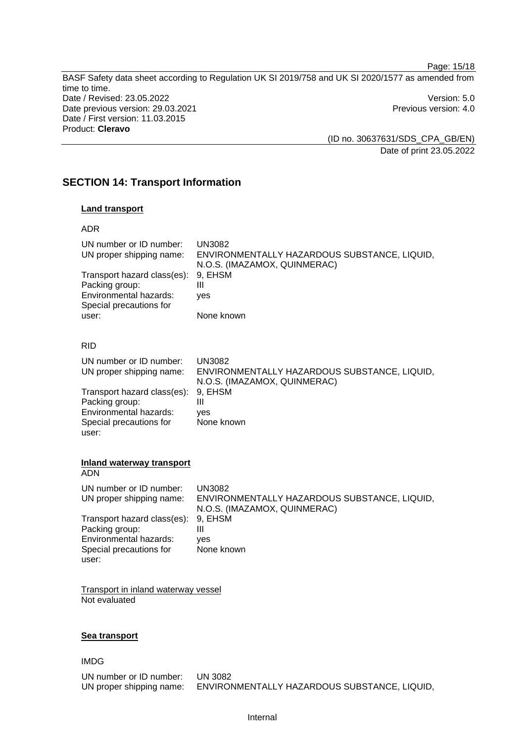Page: 15/18 BASF Safety data sheet according to Regulation UK SI 2019/758 and UK SI 2020/1577 as amended from time to time. Date / Revised: 23.05.2022 Version: 5.0 Date previous version: 29.03.2021 **Previous version: 4.0** Previous version: 4.0 Date / First version: 11.03.2015 Product: **Cleravo** 

(ID no. 30637631/SDS\_CPA\_GB/EN) Date of print 23.05.2022

# **SECTION 14: Transport Information**

### **Land transport**

| ۰, |  |
|----|--|
|----|--|

| UN number or ID number:<br>UN proper shipping name:<br>Transport hazard class(es):<br>Packing group:<br>Environmental hazards:<br>Special precautions for | <b>UN3082</b><br>ENVIRONMENTALLY HAZARDOUS SUBSTANCE, LIQUID,<br>N.O.S. (IMAZAMOX, QUINMERAC)<br>9. EHSM<br>Ш<br>ves |
|-----------------------------------------------------------------------------------------------------------------------------------------------------------|----------------------------------------------------------------------------------------------------------------------|
| user:                                                                                                                                                     | None known                                                                                                           |
| <b>RID</b>                                                                                                                                                |                                                                                                                      |
| UN number or ID number:<br>UN proper shipping name:                                                                                                       | <b>UN3082</b><br>ENVIRONMENTALLY HAZARDOUS SUBSTANCE, LIQUID,                                                        |
|                                                                                                                                                           | N.O.S. (IMAZAMOX, QUINMERAC)                                                                                         |
| Transport hazard class(es):                                                                                                                               | 9. EHSM                                                                                                              |
| Packing group:                                                                                                                                            | Ш                                                                                                                    |

Environmental hazards: yes Special precautions for user:

None known

#### **Inland waterway transport**

| ADN                                                                                                         |                                                                                        |
|-------------------------------------------------------------------------------------------------------------|----------------------------------------------------------------------------------------|
| UN number or ID number:<br>UN proper shipping name:                                                         | UN3082<br>ENVIRONMENTALLY HAZARDOUS SUBSTANCE, LIQUID,<br>N.O.S. (IMAZAMOX, QUINMERAC) |
| Transport hazard class(es):<br>Packing group:<br>Environmental hazards:<br>Special precautions for<br>user: | 9. EHSM<br>Ш<br>ves<br>None known                                                      |
|                                                                                                             |                                                                                        |

Transport in inland waterway vessel Not evaluated

#### **Sea transport**

#### IMDG

| UN number or ID number:  | UN 3082                                      |
|--------------------------|----------------------------------------------|
| UN proper shipping name: | ENVIRONMENTALLY HAZARDOUS SUBSTANCE, LIQUID, |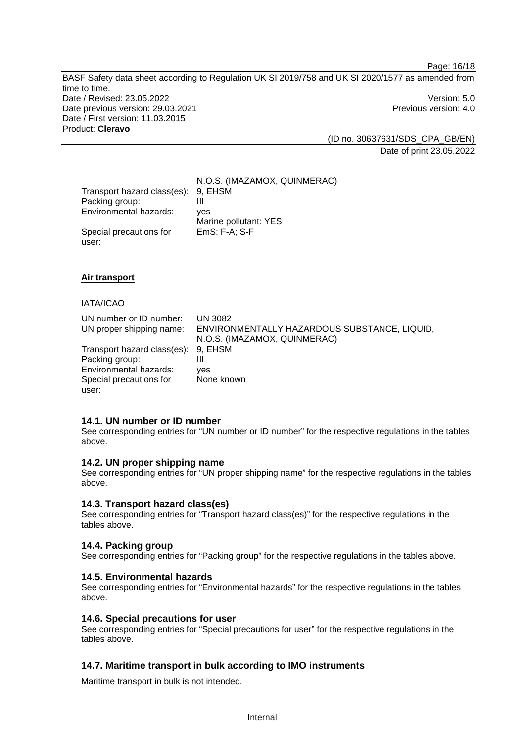Page: 16/18

BASF Safety data sheet according to Regulation UK SI 2019/758 and UK SI 2020/1577 as amended from time to time. Date / Revised: 23.05.2022 Version: 5.0 Date previous version: 29.03.2021 **Date previous version: 4.0** Date / First version: 11.03.2015 Product: **Cleravo** 

> (ID no. 30637631/SDS\_CPA\_GB/EN) Date of print 23.05.2022

|                             | N.O.S. (IMAZAMOX, QUINMERAC) |
|-----------------------------|------------------------------|
| Transport hazard class(es): | 9, EHSM                      |
| Packing group:              |                              |
| Environmental hazards:      | ves                          |
|                             | Marine pollutant: YES        |
| Special precautions for     | EmS: F-A; S-F                |
| user:                       |                              |

### **Air transport**

### IATA/ICAO

| UN number or ID number:<br>UN proper shipping name: | UN 3082<br>ENVIRONMENTALLY HAZARDOUS SUBSTANCE, LIQUID,<br>N.O.S. (IMAZAMOX, QUINMERAC) |
|-----------------------------------------------------|-----------------------------------------------------------------------------------------|
| Transport hazard class(es): 9, EHSM                 |                                                                                         |
| Packing group:<br>Environmental hazards:            | Ш<br>ves                                                                                |
| Special precautions for                             | None known                                                                              |
| user:                                               |                                                                                         |

#### **14.1. UN number or ID number**

See corresponding entries for "UN number or ID number" for the respective regulations in the tables above.

### **14.2. UN proper shipping name**

See corresponding entries for "UN proper shipping name" for the respective regulations in the tables above.

#### **14.3. Transport hazard class(es)**

See corresponding entries for "Transport hazard class(es)" for the respective regulations in the tables above.

### **14.4. Packing group**

See corresponding entries for "Packing group" for the respective regulations in the tables above.

#### **14.5. Environmental hazards**

See corresponding entries for "Environmental hazards" for the respective regulations in the tables above.

#### **14.6. Special precautions for user**

See corresponding entries for "Special precautions for user" for the respective regulations in the tables above.

### **14.7. Maritime transport in bulk according to IMO instruments**

Maritime transport in bulk is not intended.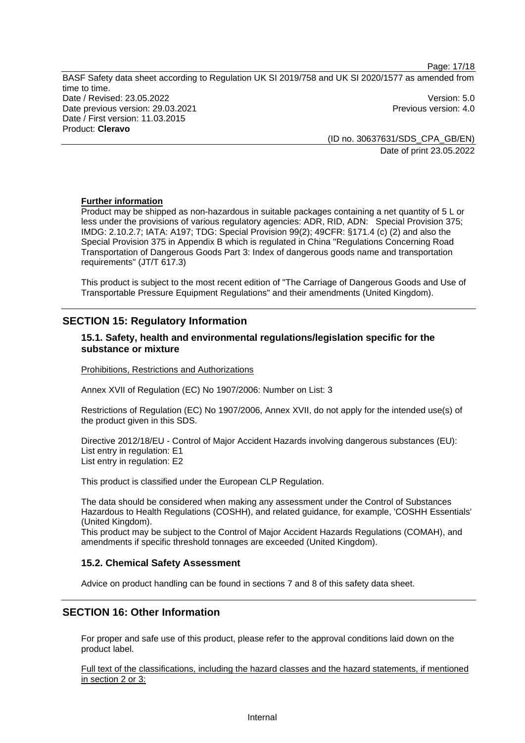Page: 17/18

BASF Safety data sheet according to Regulation UK SI 2019/758 and UK SI 2020/1577 as amended from time to time. Date / Revised: 23.05.2022 Version: 5.0 Date previous version: 29.03.2021 **Date previous version: 4.0** Date / First version: 11.03.2015 Product: **Cleravo** 

(ID no. 30637631/SDS\_CPA\_GB/EN) Date of print 23.05.2022

### **Further information**

Product may be shipped as non-hazardous in suitable packages containing a net quantity of 5 L or less under the provisions of various regulatory agencies: ADR, RID, ADN: Special Provision 375; IMDG: 2.10.2.7; IATA: A197; TDG: Special Provision 99(2); 49CFR: §171.4 (c) (2) and also the Special Provision 375 in Appendix B which is regulated in China "Regulations Concerning Road Transportation of Dangerous Goods Part 3: Index of dangerous goods name and transportation requirements" (JT/T 617.3)

This product is subject to the most recent edition of "The Carriage of Dangerous Goods and Use of Transportable Pressure Equipment Regulations" and their amendments (United Kingdom).

# **SECTION 15: Regulatory Information**

### **15.1. Safety, health and environmental regulations/legislation specific for the substance or mixture**

Prohibitions, Restrictions and Authorizations

Annex XVII of Regulation (EC) No 1907/2006: Number on List: 3

Restrictions of Regulation (EC) No 1907/2006, Annex XVII, do not apply for the intended use(s) of the product given in this SDS.

Directive 2012/18/EU - Control of Major Accident Hazards involving dangerous substances (EU): List entry in regulation: E1 List entry in regulation: E2

This product is classified under the European CLP Regulation.

The data should be considered when making any assessment under the Control of Substances Hazardous to Health Regulations (COSHH), and related guidance, for example, 'COSHH Essentials' (United Kingdom).

This product may be subject to the Control of Major Accident Hazards Regulations (COMAH), and amendments if specific threshold tonnages are exceeded (United Kingdom).

### **15.2. Chemical Safety Assessment**

Advice on product handling can be found in sections 7 and 8 of this safety data sheet.

# **SECTION 16: Other Information**

For proper and safe use of this product, please refer to the approval conditions laid down on the product label.

Full text of the classifications, including the hazard classes and the hazard statements, if mentioned in section 2 or 3: